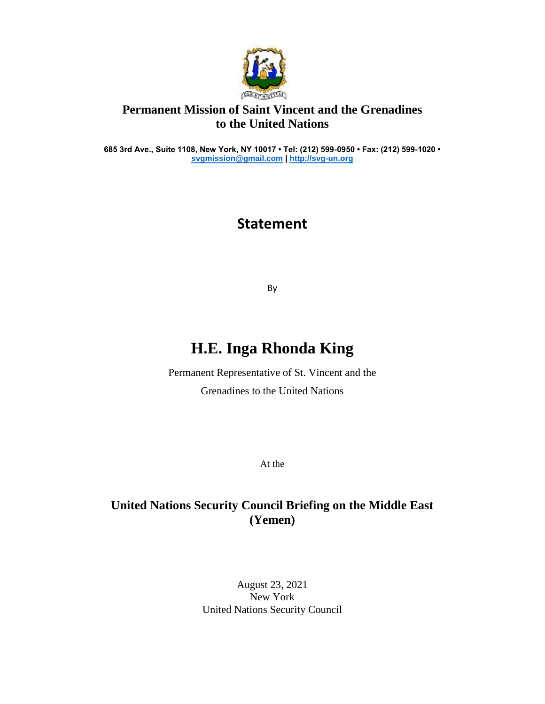

### **Permanent Mission of Saint Vincent and the Grenadines to the United Nations**

**685 3rd Ave., Suite 1108, New York, NY 10017 • Tel: (212) 599-0950 • Fax: (212) 599-1020 • [svgmission@gmail.com](mailto:svgmission@gmail.com) [| http://svg-un.org](http://svg-un.org/)**

## **Statement**

By

# **H.E. Inga Rhonda King**

Permanent Representative of St. Vincent and the Grenadines to the United Nations

At the

### **United Nations Security Council Briefing on the Middle East (Yemen)**

August 23, 2021 New York United Nations Security Council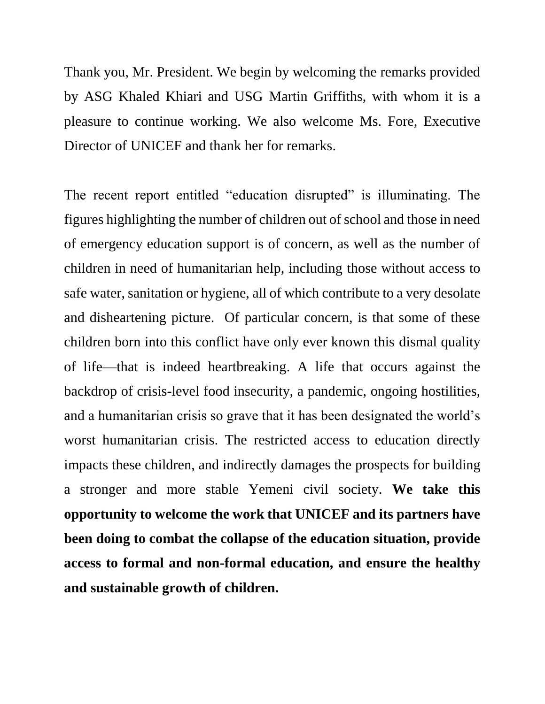Thank you, Mr. President. We begin by welcoming the remarks provided by ASG Khaled Khiari and USG Martin Griffiths, with whom it is a pleasure to continue working. We also welcome Ms. Fore, Executive Director of UNICEF and thank her for remarks.

The recent report entitled "education disrupted" is illuminating. The figures highlighting the number of children out of school and those in need of emergency education support is of concern, as well as the number of children in need of humanitarian help, including those without access to safe water, sanitation or hygiene, all of which contribute to a very desolate and disheartening picture. Of particular concern, is that some of these children born into this conflict have only ever known this dismal quality of life—that is indeed heartbreaking. A life that occurs against the backdrop of crisis-level food insecurity, a pandemic, ongoing hostilities, and a humanitarian crisis so grave that it has been designated the world's worst humanitarian crisis. The restricted access to education directly impacts these children, and indirectly damages the prospects for building a stronger and more stable Yemeni civil society. **We take this opportunity to welcome the work that UNICEF and its partners have been doing to combat the collapse of the education situation, provide access to formal and non-formal education, and ensure the healthy and sustainable growth of children.**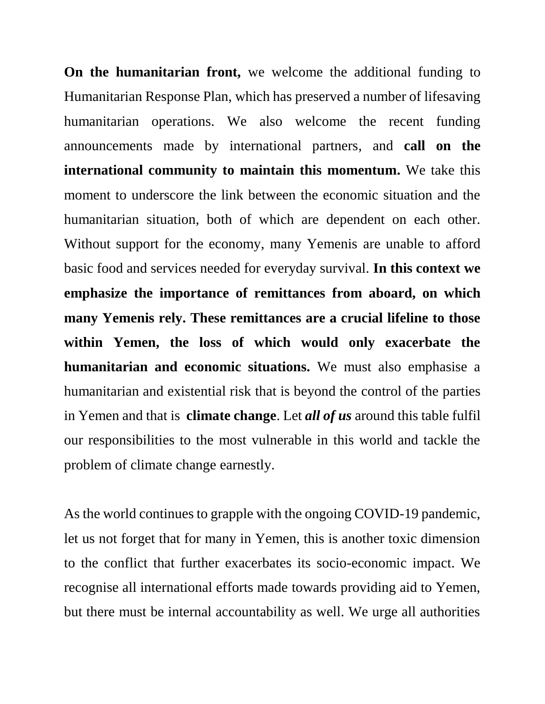**On the humanitarian front,** we welcome the additional funding to Humanitarian Response Plan, which has preserved a number of lifesaving humanitarian operations. We also welcome the recent funding announcements made by international partners, and **call on the international community to maintain this momentum.** We take this moment to underscore the link between the economic situation and the humanitarian situation, both of which are dependent on each other. Without support for the economy, many Yemenis are unable to afford basic food and services needed for everyday survival. **In this context we emphasize the importance of remittances from aboard, on which many Yemenis rely. These remittances are a crucial lifeline to those within Yemen, the loss of which would only exacerbate the humanitarian and economic situations.** We must also emphasise a humanitarian and existential risk that is beyond the control of the parties in Yemen and that is **climate change**. Let *all of us* around this table fulfil our responsibilities to the most vulnerable in this world and tackle the problem of climate change earnestly.

As the world continues to grapple with the ongoing COVID-19 pandemic, let us not forget that for many in Yemen, this is another toxic dimension to the conflict that further exacerbates its socio-economic impact. We recognise all international efforts made towards providing aid to Yemen, but there must be internal accountability as well. We urge all authorities